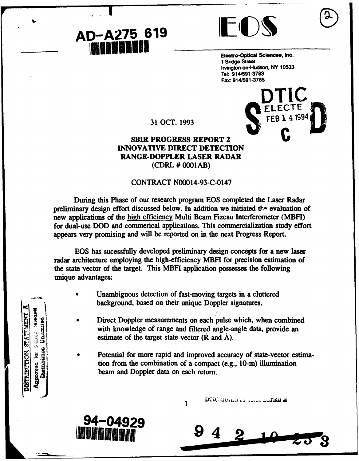

**Electro-Optical Sciences, Inc.** 1 Bridge Street Irvington-on-Hudson, NY 10533 Tel: 914/591-3783 Fax: 914/591-3785

**DTIC**

**-fn** ELECTE

**31** OCT. 1993 **<sup>14</sup>**

## SBIR PROGRESS REPORT 2 **INNOVATIVE DIRECT DETECTION** RANGE-DOPPLER LASER RADAR (CDRL # 0001AB)

## CONTRACT N00014-93-C-0147

During this Phase of our research program **EOS** completed the Laser Radar preliminary design effort discussed below. In addition we initiated **t&,-** evaluation of new applications of the high efficiency Multi Beam Fizeau Interferometer (MBFI) for dual-use DOD and commerical applications. This commercialization study effort appears very promising and will be reported on in the next Progress Report.

**EOS** has sucessfully developed preliminary design concepts for a new laser radar architecture employing the high-efficiency MBFI for precision estimation of the state vector of the target. This MBFI application possesses the following unique advantages:

- Unambiguous detection of fast-moving targets in a cluttered background, based on their unique Doppler signatures.
- Direct Doppler measurements on each pulse which, when combined with knowledge of range and filtered angle-angle data, provide an estimate of the target state vector  $(\dot{R}$  and  $\dot{A})$ . tion from the combination of a compact (e.g., 10-m) illumination <sup>1</sup>beam and Doppler data on each return.
	- Potential for more rapid and improved accuracy of state-vector estima-

 $\mathbf{1}$ 

DTIC QUALITY IN LA LOTED &



reie: موسيسنط  $\frac{9}{2}$